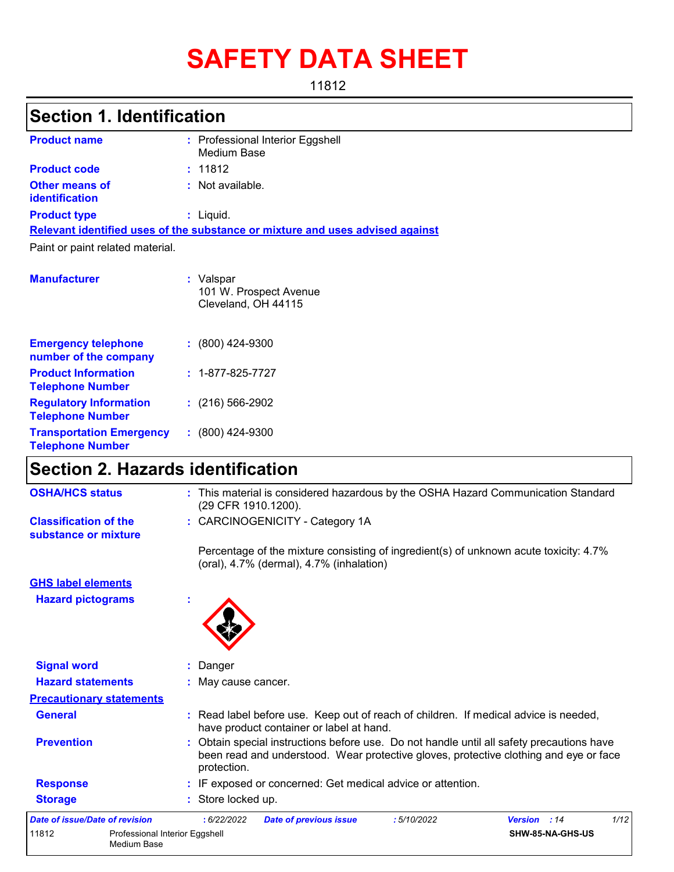# **SAFETY DATA SHEET**

11812

## **Section 1. Identification**

| <b>Product name</b>                     | : Professional Interior Eggshell<br>Medium Base                               |
|-----------------------------------------|-------------------------------------------------------------------------------|
| <b>Product code</b>                     | : 11812                                                                       |
| <b>Other means of</b><br>identification | $:$ Not available.                                                            |
| <b>Product type</b>                     | $:$ Liquid.                                                                   |
|                                         | Relevant identified uses of the substance or mixture and uses advised against |
| Paint or paint related material.        |                                                                               |
| <b>Manufacturer</b>                     | : Valspar<br>101 W. Prospect Avenue<br>Cleveland, OH 44115                    |

| <b>Emergency telephone</b><br>number of the company        | $: (800)$ 424-9300       |
|------------------------------------------------------------|--------------------------|
| <b>Product Information</b><br><b>Telephone Number</b>      | $: 1 - 877 - 825 - 7727$ |
| <b>Regulatory Information</b><br><b>Telephone Number</b>   | $: (216) 566 - 2902$     |
| <b>Transportation Emergency</b><br><b>Telephone Number</b> | $: (800)$ 424-9300       |

## **Section 2. Hazards identification**

| <b>OSHA/HCS status</b>                               | : This material is considered hazardous by the OSHA Hazard Communication Standard<br>(29 CFR 1910.1200).                                                                                          |
|------------------------------------------------------|---------------------------------------------------------------------------------------------------------------------------------------------------------------------------------------------------|
| <b>Classification of the</b><br>substance or mixture | : CARCINOGENICITY - Category 1A                                                                                                                                                                   |
|                                                      | Percentage of the mixture consisting of ingredient(s) of unknown acute toxicity: 4.7%<br>(oral), 4.7% (dermal), 4.7% (inhalation)                                                                 |
| <b>GHS label elements</b>                            |                                                                                                                                                                                                   |
| <b>Hazard pictograms</b>                             |                                                                                                                                                                                                   |
| <b>Signal word</b>                                   | : Danger                                                                                                                                                                                          |
| <b>Hazard statements</b>                             | : May cause cancer.                                                                                                                                                                               |
| <b>Precautionary statements</b>                      |                                                                                                                                                                                                   |
| <b>General</b>                                       | : Read label before use. Keep out of reach of children. If medical advice is needed,<br>have product container or label at hand.                                                                  |
| <b>Prevention</b>                                    | : Obtain special instructions before use. Do not handle until all safety precautions have<br>been read and understood. Wear protective gloves, protective clothing and eye or face<br>protection. |
| <b>Response</b>                                      | : IF exposed or concerned: Get medical advice or attention.                                                                                                                                       |
| <b>Storage</b>                                       | : Store locked up.                                                                                                                                                                                |
| <b>Date of issue/Date of revision</b>                | 1/12<br>: 6/22/2022<br>:5/10/2022<br><b>Date of previous issue</b><br>Version : 14                                                                                                                |
| 11812                                                | Professional Interior Eggshell<br>SHW-85-NA-GHS-US<br>Medium Base                                                                                                                                 |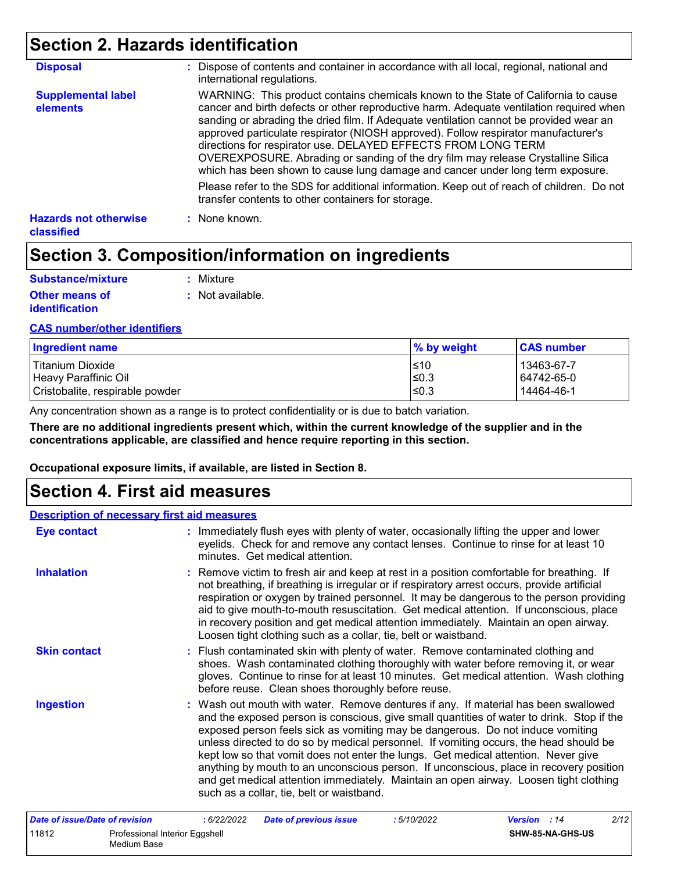## **Section 2. Hazards identification**

| <b>Disposal</b>                            | : Dispose of contents and container in accordance with all local, regional, national and<br>international regulations.                                                                                                                                                                                                                                                                                                                                                                                                                                                                               |
|--------------------------------------------|------------------------------------------------------------------------------------------------------------------------------------------------------------------------------------------------------------------------------------------------------------------------------------------------------------------------------------------------------------------------------------------------------------------------------------------------------------------------------------------------------------------------------------------------------------------------------------------------------|
| <b>Supplemental label</b><br>elements      | WARNING: This product contains chemicals known to the State of California to cause<br>cancer and birth defects or other reproductive harm. Adequate ventilation required when<br>sanding or abrading the dried film. If Adequate ventilation cannot be provided wear an<br>approved particulate respirator (NIOSH approved). Follow respirator manufacturer's<br>directions for respirator use. DELAYED EFFECTS FROM LONG TERM<br>OVEREXPOSURE. Abrading or sanding of the dry film may release Crystalline Silica<br>which has been shown to cause lung damage and cancer under long term exposure. |
|                                            | Please refer to the SDS for additional information. Keep out of reach of children. Do not<br>transfer contents to other containers for storage.                                                                                                                                                                                                                                                                                                                                                                                                                                                      |
| <b>Hazards not otherwise</b><br>classified | : None known.                                                                                                                                                                                                                                                                                                                                                                                                                                                                                                                                                                                        |

## **Section 3. Composition/information on ingredients**

| Substance/mixture     | : Mixture        |
|-----------------------|------------------|
| <b>Other means of</b> | : Not available. |
| <b>identification</b> |                  |

#### **CAS number/other identifiers**

| <b>Ingredient name</b>          | % by weight | <b>CAS number</b> |
|---------------------------------|-------------|-------------------|
| l Titanium Dioxide              | ≤10         | 13463-67-7        |
| Heavy Paraffinic Oil            | l≤0.3       | 64742-65-0        |
| Cristobalite, respirable powder | l≤0.3       | 14464-46-1        |

Any concentration shown as a range is to protect confidentiality or is due to batch variation.

**There are no additional ingredients present which, within the current knowledge of the supplier and in the concentrations applicable, are classified and hence require reporting in this section.**

**Occupational exposure limits, if available, are listed in Section 8.**

### **Section 4. First aid measures**

### **Description of necessary first aid measures**

| <b>Eye contact</b>             | : Immediately flush eyes with plenty of water, occasionally lifting the upper and lower<br>eyelids. Check for and remove any contact lenses. Continue to rinse for at least 10<br>minutes. Get medical attention.                                                                                                                                                                                                                                                                                                                                                                                                                                                                 |
|--------------------------------|-----------------------------------------------------------------------------------------------------------------------------------------------------------------------------------------------------------------------------------------------------------------------------------------------------------------------------------------------------------------------------------------------------------------------------------------------------------------------------------------------------------------------------------------------------------------------------------------------------------------------------------------------------------------------------------|
| <b>Inhalation</b>              | : Remove victim to fresh air and keep at rest in a position comfortable for breathing. If<br>not breathing, if breathing is irregular or if respiratory arrest occurs, provide artificial<br>respiration or oxygen by trained personnel. It may be dangerous to the person providing<br>aid to give mouth-to-mouth resuscitation. Get medical attention. If unconscious, place<br>in recovery position and get medical attention immediately. Maintain an open airway.<br>Loosen tight clothing such as a collar, tie, belt or waistband.                                                                                                                                         |
| <b>Skin contact</b>            | : Flush contaminated skin with plenty of water. Remove contaminated clothing and<br>shoes. Wash contaminated clothing thoroughly with water before removing it, or wear<br>gloves. Continue to rinse for at least 10 minutes. Get medical attention. Wash clothing<br>before reuse. Clean shoes thoroughly before reuse.                                                                                                                                                                                                                                                                                                                                                          |
| <b>Ingestion</b>               | : Wash out mouth with water. Remove dentures if any. If material has been swallowed<br>and the exposed person is conscious, give small quantities of water to drink. Stop if the<br>exposed person feels sick as vomiting may be dangerous. Do not induce vomiting<br>unless directed to do so by medical personnel. If vomiting occurs, the head should be<br>kept low so that vomit does not enter the lungs. Get medical attention. Never give<br>anything by mouth to an unconscious person. If unconscious, place in recovery position<br>and get medical attention immediately. Maintain an open airway. Loosen tight clothing<br>such as a collar, tie, belt or waistband. |
| Date of issue/Date of revision | 2/12<br>:6/22/2022<br><b>Date of previous issue</b><br>:5/10/2022<br>Version : 14                                                                                                                                                                                                                                                                                                                                                                                                                                                                                                                                                                                                 |

|       |                                | . | $\frac{1}{2}$ and $\frac{1}{2}$ , $\frac{1}{2}$ , $\frac{1}{2}$ , $\frac{1}{2}$ , $\frac{1}{2}$ , $\frac{1}{2}$ , $\frac{1}{2}$ , $\frac{1}{2}$ | . | .                       |
|-------|--------------------------------|---|-------------------------------------------------------------------------------------------------------------------------------------------------|---|-------------------------|
| 11812 | Professional Interior Eggshell |   |                                                                                                                                                 |   | <b>SHW-85-NA-GHS-US</b> |
|       | Medium Base                    |   |                                                                                                                                                 |   |                         |
|       |                                |   |                                                                                                                                                 |   |                         |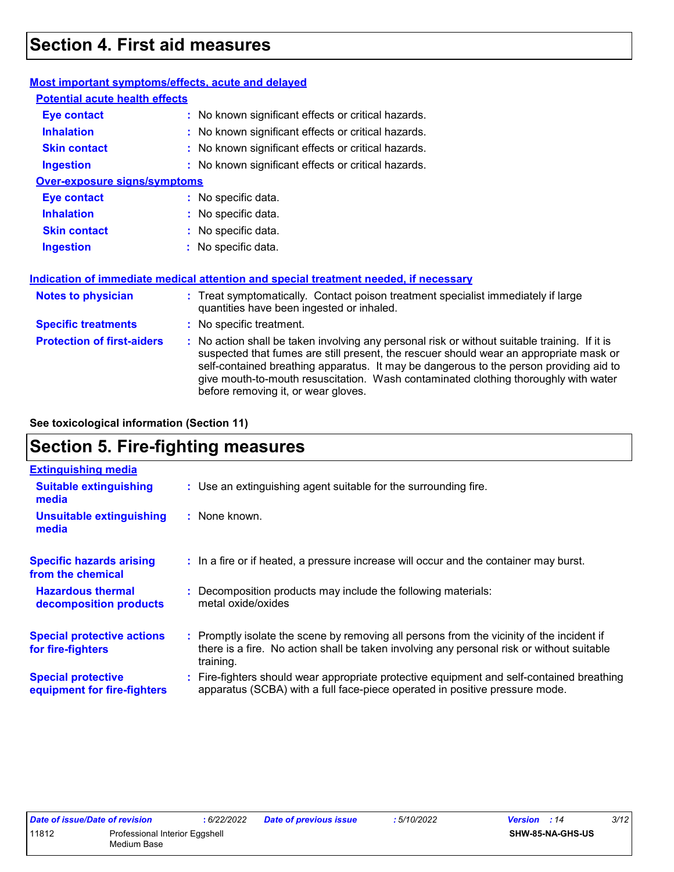## **Section 4. First aid measures**

| Most important symptoms/effects, acute and delayed |                                                                                                                                                                                                                                                                                                                                                                                                                 |  |
|----------------------------------------------------|-----------------------------------------------------------------------------------------------------------------------------------------------------------------------------------------------------------------------------------------------------------------------------------------------------------------------------------------------------------------------------------------------------------------|--|
| <b>Potential acute health effects</b>              |                                                                                                                                                                                                                                                                                                                                                                                                                 |  |
| Eye contact                                        | : No known significant effects or critical hazards.                                                                                                                                                                                                                                                                                                                                                             |  |
| <b>Inhalation</b>                                  | : No known significant effects or critical hazards.                                                                                                                                                                                                                                                                                                                                                             |  |
| <b>Skin contact</b>                                | : No known significant effects or critical hazards.                                                                                                                                                                                                                                                                                                                                                             |  |
| <b>Ingestion</b>                                   | : No known significant effects or critical hazards.                                                                                                                                                                                                                                                                                                                                                             |  |
| <b>Over-exposure signs/symptoms</b>                |                                                                                                                                                                                                                                                                                                                                                                                                                 |  |
| <b>Eye contact</b>                                 | : No specific data.                                                                                                                                                                                                                                                                                                                                                                                             |  |
| <b>Inhalation</b>                                  | : No specific data.                                                                                                                                                                                                                                                                                                                                                                                             |  |
| <b>Skin contact</b>                                | : No specific data.                                                                                                                                                                                                                                                                                                                                                                                             |  |
| <b>Ingestion</b>                                   | : No specific data.                                                                                                                                                                                                                                                                                                                                                                                             |  |
|                                                    | Indication of immediate medical attention and special treatment needed, if necessary                                                                                                                                                                                                                                                                                                                            |  |
| <b>Notes to physician</b>                          | : Treat symptomatically. Contact poison treatment specialist immediately if large<br>quantities have been ingested or inhaled.                                                                                                                                                                                                                                                                                  |  |
| <b>Specific treatments</b>                         | : No specific treatment.                                                                                                                                                                                                                                                                                                                                                                                        |  |
| <b>Protection of first-aiders</b>                  | : No action shall be taken involving any personal risk or without suitable training. If it is<br>suspected that fumes are still present, the rescuer should wear an appropriate mask or<br>self-contained breathing apparatus. It may be dangerous to the person providing aid to<br>give mouth-to-mouth resuscitation. Wash contaminated clothing thoroughly with water<br>before removing it, or wear gloves. |  |

**See toxicological information (Section 11)**

## **Section 5. Fire-fighting measures**

| <b>Extinguishing media</b>                               |                                                                                                                                                                                                     |
|----------------------------------------------------------|-----------------------------------------------------------------------------------------------------------------------------------------------------------------------------------------------------|
| <b>Suitable extinguishing</b><br>media                   | : Use an extinguishing agent suitable for the surrounding fire.                                                                                                                                     |
| <b>Unsuitable extinguishing</b><br>media                 | : None known.                                                                                                                                                                                       |
| <b>Specific hazards arising</b><br>from the chemical     | : In a fire or if heated, a pressure increase will occur and the container may burst.                                                                                                               |
| <b>Hazardous thermal</b><br>decomposition products       | Decomposition products may include the following materials:<br>metal oxide/oxides                                                                                                                   |
| <b>Special protective actions</b><br>for fire-fighters   | : Promptly isolate the scene by removing all persons from the vicinity of the incident if<br>there is a fire. No action shall be taken involving any personal risk or without suitable<br>training. |
| <b>Special protective</b><br>equipment for fire-fighters | : Fire-fighters should wear appropriate protective equipment and self-contained breathing<br>apparatus (SCBA) with a full face-piece operated in positive pressure mode.                            |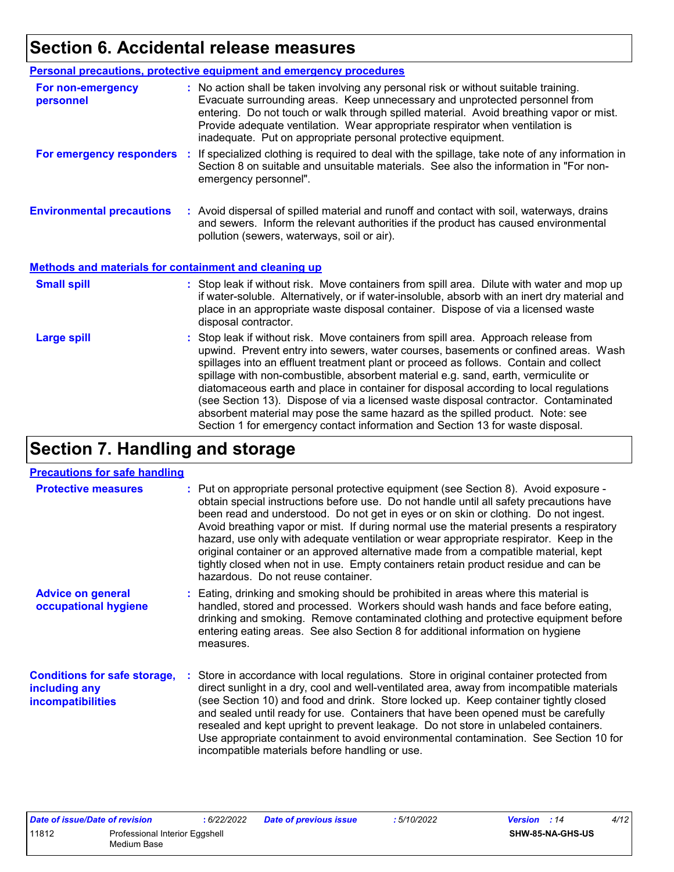## **Section 6. Accidental release measures**

|                                                              | Personal precautions, protective equipment and emergency procedures                                                                                                                                                                                                                                                                                                                                                                                                                                                                                                                                                                                                                                          |
|--------------------------------------------------------------|--------------------------------------------------------------------------------------------------------------------------------------------------------------------------------------------------------------------------------------------------------------------------------------------------------------------------------------------------------------------------------------------------------------------------------------------------------------------------------------------------------------------------------------------------------------------------------------------------------------------------------------------------------------------------------------------------------------|
| For non-emergency<br>personnel                               | : No action shall be taken involving any personal risk or without suitable training.<br>Evacuate surrounding areas. Keep unnecessary and unprotected personnel from<br>entering. Do not touch or walk through spilled material. Avoid breathing vapor or mist.<br>Provide adequate ventilation. Wear appropriate respirator when ventilation is<br>inadequate. Put on appropriate personal protective equipment.                                                                                                                                                                                                                                                                                             |
| For emergency responders                                     | : If specialized clothing is required to deal with the spillage, take note of any information in<br>Section 8 on suitable and unsuitable materials. See also the information in "For non-<br>emergency personnel".                                                                                                                                                                                                                                                                                                                                                                                                                                                                                           |
| <b>Environmental precautions</b>                             | : Avoid dispersal of spilled material and runoff and contact with soil, waterways, drains<br>and sewers. Inform the relevant authorities if the product has caused environmental<br>pollution (sewers, waterways, soil or air).                                                                                                                                                                                                                                                                                                                                                                                                                                                                              |
| <b>Methods and materials for containment and cleaning up</b> |                                                                                                                                                                                                                                                                                                                                                                                                                                                                                                                                                                                                                                                                                                              |
| <b>Small spill</b>                                           | : Stop leak if without risk. Move containers from spill area. Dilute with water and mop up<br>if water-soluble. Alternatively, or if water-insoluble, absorb with an inert dry material and<br>place in an appropriate waste disposal container. Dispose of via a licensed waste<br>disposal contractor.                                                                                                                                                                                                                                                                                                                                                                                                     |
| <b>Large spill</b>                                           | : Stop leak if without risk. Move containers from spill area. Approach release from<br>upwind. Prevent entry into sewers, water courses, basements or confined areas. Wash<br>spillages into an effluent treatment plant or proceed as follows. Contain and collect<br>spillage with non-combustible, absorbent material e.g. sand, earth, vermiculite or<br>diatomaceous earth and place in container for disposal according to local regulations<br>(see Section 13). Dispose of via a licensed waste disposal contractor. Contaminated<br>absorbent material may pose the same hazard as the spilled product. Note: see<br>Section 1 for emergency contact information and Section 13 for waste disposal. |

## **Section 7. Handling and storage**

#### **Precautions for safe handling**

| <b>Protective measures</b>                                                | : Put on appropriate personal protective equipment (see Section 8). Avoid exposure -<br>obtain special instructions before use. Do not handle until all safety precautions have<br>been read and understood. Do not get in eyes or on skin or clothing. Do not ingest.<br>Avoid breathing vapor or mist. If during normal use the material presents a respiratory<br>hazard, use only with adequate ventilation or wear appropriate respirator. Keep in the<br>original container or an approved alternative made from a compatible material, kept<br>tightly closed when not in use. Empty containers retain product residue and can be<br>hazardous. Do not reuse container. |
|---------------------------------------------------------------------------|--------------------------------------------------------------------------------------------------------------------------------------------------------------------------------------------------------------------------------------------------------------------------------------------------------------------------------------------------------------------------------------------------------------------------------------------------------------------------------------------------------------------------------------------------------------------------------------------------------------------------------------------------------------------------------|
| <b>Advice on general</b><br>occupational hygiene                          | : Eating, drinking and smoking should be prohibited in areas where this material is<br>handled, stored and processed. Workers should wash hands and face before eating,<br>drinking and smoking. Remove contaminated clothing and protective equipment before<br>entering eating areas. See also Section 8 for additional information on hygiene<br>measures.                                                                                                                                                                                                                                                                                                                  |
| <b>Conditions for safe storage,</b><br>including any<br>incompatibilities | : Store in accordance with local regulations. Store in original container protected from<br>direct sunlight in a dry, cool and well-ventilated area, away from incompatible materials<br>(see Section 10) and food and drink. Store locked up. Keep container tightly closed<br>and sealed until ready for use. Containers that have been opened must be carefully<br>resealed and kept upright to prevent leakage. Do not store in unlabeled containers.<br>Use appropriate containment to avoid environmental contamination. See Section 10 for<br>incompatible materials before handling or use.                                                                            |

| Date of issue/Date of revision          |  | 6/22/2022 | <b>Date of previous issue</b> | : 5/10/2022 | <b>Version</b> : 14 | 4/12 |
|-----------------------------------------|--|-----------|-------------------------------|-------------|---------------------|------|
| 11812<br>Professional Interior Eggshell |  |           |                               |             | SHW-85-NA-GHS-US    |      |
| Medium Base                             |  |           |                               |             |                     |      |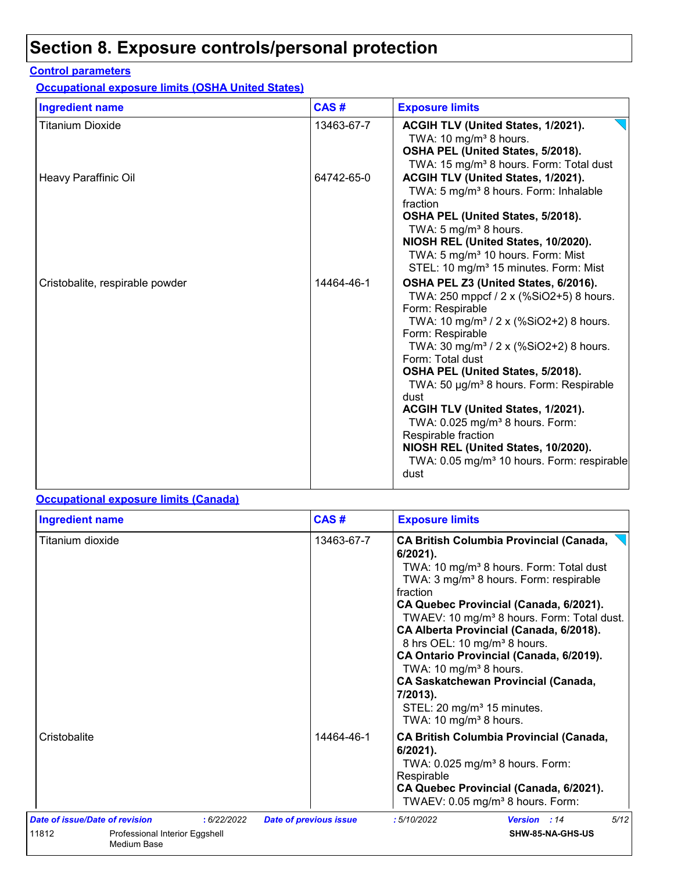## **Section 8. Exposure controls/personal protection**

#### **Control parameters**

**Occupational exposure limits (OSHA United States)**

| <b>Ingredient name</b>          | CAS#       | <b>Exposure limits</b>                                                                                                                                                                                                                                                                                                                                                                                                                                                                                                                                                           |
|---------------------------------|------------|----------------------------------------------------------------------------------------------------------------------------------------------------------------------------------------------------------------------------------------------------------------------------------------------------------------------------------------------------------------------------------------------------------------------------------------------------------------------------------------------------------------------------------------------------------------------------------|
| <b>Titanium Dioxide</b>         | 13463-67-7 | ACGIH TLV (United States, 1/2021).<br>TWA: 10 $mg/m3$ 8 hours.<br>OSHA PEL (United States, 5/2018).<br>TWA: 15 mg/m <sup>3</sup> 8 hours. Form: Total dust                                                                                                                                                                                                                                                                                                                                                                                                                       |
| Heavy Paraffinic Oil            | 64742-65-0 | ACGIH TLV (United States, 1/2021).<br>TWA: 5 mg/m <sup>3</sup> 8 hours. Form: Inhalable<br>fraction<br>OSHA PEL (United States, 5/2018).<br>TWA: 5 mg/m <sup>3</sup> 8 hours.<br>NIOSH REL (United States, 10/2020).<br>TWA: 5 mg/m <sup>3</sup> 10 hours. Form: Mist<br>STEL: 10 mg/m <sup>3</sup> 15 minutes. Form: Mist                                                                                                                                                                                                                                                       |
| Cristobalite, respirable powder | 14464-46-1 | OSHA PEL Z3 (United States, 6/2016).<br>TWA: 250 mppcf / 2 x (%SiO2+5) 8 hours.<br>Form: Respirable<br>TWA: 10 mg/m <sup>3</sup> / 2 x (%SiO2+2) 8 hours.<br>Form: Respirable<br>TWA: 30 mg/m <sup>3</sup> / 2 x (%SiO2+2) 8 hours.<br>Form: Total dust<br>OSHA PEL (United States, 5/2018).<br>TWA: 50 µg/m <sup>3</sup> 8 hours. Form: Respirable<br>dust<br>ACGIH TLV (United States, 1/2021).<br>TWA: 0.025 mg/m <sup>3</sup> 8 hours. Form:<br>Respirable fraction<br>NIOSH REL (United States, 10/2020).<br>TWA: 0.05 mg/m <sup>3</sup> 10 hours. Form: respirable<br>dust |

#### **Occupational exposure limits (Canada)**

| <b>Ingredient name</b>                                 |            | CAS#                          | <b>Exposure limits</b>                                                                                                                                                                                                                                                                                                                                                                                                                                                                                                                                                                                      |  |  |
|--------------------------------------------------------|------------|-------------------------------|-------------------------------------------------------------------------------------------------------------------------------------------------------------------------------------------------------------------------------------------------------------------------------------------------------------------------------------------------------------------------------------------------------------------------------------------------------------------------------------------------------------------------------------------------------------------------------------------------------------|--|--|
| Titanium dioxide                                       |            | 13463-67-7                    | <b>CA British Columbia Provincial (Canada,</b><br>$6/2021$ .<br>TWA: 10 mg/m <sup>3</sup> 8 hours. Form: Total dust<br>TWA: 3 mg/m <sup>3</sup> 8 hours. Form: respirable<br>fraction<br>CA Quebec Provincial (Canada, 6/2021).<br>TWAEV: 10 mg/m <sup>3</sup> 8 hours. Form: Total dust.<br>CA Alberta Provincial (Canada, 6/2018).<br>8 hrs OEL: 10 mg/m <sup>3</sup> 8 hours.<br>CA Ontario Provincial (Canada, 6/2019).<br>TWA: 10 mg/m <sup>3</sup> 8 hours.<br><b>CA Saskatchewan Provincial (Canada,</b><br>7/2013).<br>STEL: 20 mg/m <sup>3</sup> 15 minutes.<br>TWA: 10 mg/m <sup>3</sup> 8 hours. |  |  |
| Cristobalite                                           |            | 14464-46-1                    | <b>CA British Columbia Provincial (Canada,</b><br>$6/2021$ ).<br>TWA: $0.025$ mg/m <sup>3</sup> 8 hours. Form:<br>Respirable<br>CA Quebec Provincial (Canada, 6/2021).<br>TWAEV: 0.05 mg/m <sup>3</sup> 8 hours. Form:                                                                                                                                                                                                                                                                                                                                                                                      |  |  |
| Date of issue/Date of revision                         | :6/22/2022 | <b>Date of previous issue</b> | 5/12<br>:5/10/2022<br>Version : 14                                                                                                                                                                                                                                                                                                                                                                                                                                                                                                                                                                          |  |  |
| 11812<br>Professional Interior Eggshell<br>Medium Base |            |                               | SHW-85-NA-GHS-US                                                                                                                                                                                                                                                                                                                                                                                                                                                                                                                                                                                            |  |  |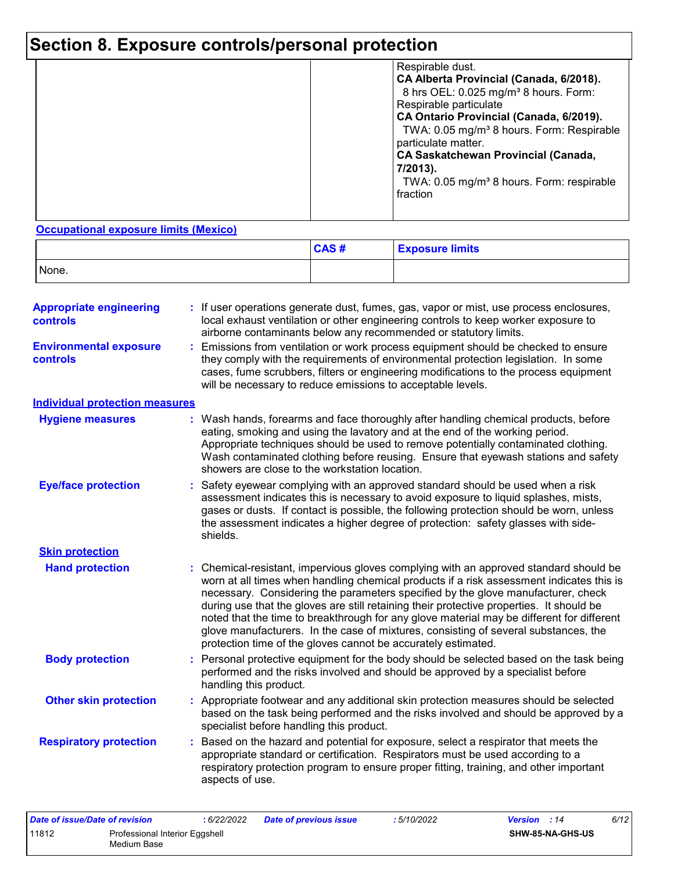## **Section 8. Exposure controls/personal protection**

|  | Respirable dust.<br>CA Alberta Provincial (Canada, 6/2018).<br>8 hrs OEL: 0.025 mg/m <sup>3</sup> 8 hours. Form:<br>Respirable particulate<br>CA Ontario Provincial (Canada, 6/2019).<br>TWA: 0.05 mg/m <sup>3</sup> 8 hours. Form: Respirable<br>particulate matter.<br><b>CA Saskatchewan Provincial (Canada,</b><br>7/2013).<br>TWA: 0.05 mg/m <sup>3</sup> 8 hours. Form: respirable<br>fraction |
|--|------------------------------------------------------------------------------------------------------------------------------------------------------------------------------------------------------------------------------------------------------------------------------------------------------------------------------------------------------------------------------------------------------|
|--|------------------------------------------------------------------------------------------------------------------------------------------------------------------------------------------------------------------------------------------------------------------------------------------------------------------------------------------------------------------------------------------------------|

#### **Occupational exposure limits (Mexico)**

|       | CAS# | <b>Exposure limits</b> |
|-------|------|------------------------|
| None. |      |                        |

| <b>Appropriate engineering</b><br><b>controls</b> |    | If user operations generate dust, fumes, gas, vapor or mist, use process enclosures,<br>local exhaust ventilation or other engineering controls to keep worker exposure to<br>airborne contaminants below any recommended or statutory limits.                                                                                                                                                                                                                                                                                                                                                                       |
|---------------------------------------------------|----|----------------------------------------------------------------------------------------------------------------------------------------------------------------------------------------------------------------------------------------------------------------------------------------------------------------------------------------------------------------------------------------------------------------------------------------------------------------------------------------------------------------------------------------------------------------------------------------------------------------------|
| <b>Environmental exposure</b><br>controls         | ÷. | Emissions from ventilation or work process equipment should be checked to ensure<br>they comply with the requirements of environmental protection legislation. In some<br>cases, fume scrubbers, filters or engineering modifications to the process equipment<br>will be necessary to reduce emissions to acceptable levels.                                                                                                                                                                                                                                                                                        |
| <b>Individual protection measures</b>             |    |                                                                                                                                                                                                                                                                                                                                                                                                                                                                                                                                                                                                                      |
| <b>Hygiene measures</b>                           |    | : Wash hands, forearms and face thoroughly after handling chemical products, before<br>eating, smoking and using the lavatory and at the end of the working period.<br>Appropriate techniques should be used to remove potentially contaminated clothing.<br>Wash contaminated clothing before reusing. Ensure that eyewash stations and safety<br>showers are close to the workstation location.                                                                                                                                                                                                                    |
| <b>Eye/face protection</b>                        | ÷. | Safety eyewear complying with an approved standard should be used when a risk<br>assessment indicates this is necessary to avoid exposure to liquid splashes, mists,<br>gases or dusts. If contact is possible, the following protection should be worn, unless<br>the assessment indicates a higher degree of protection: safety glasses with side-<br>shields.                                                                                                                                                                                                                                                     |
| <b>Skin protection</b>                            |    |                                                                                                                                                                                                                                                                                                                                                                                                                                                                                                                                                                                                                      |
| <b>Hand protection</b>                            |    | Chemical-resistant, impervious gloves complying with an approved standard should be<br>worn at all times when handling chemical products if a risk assessment indicates this is<br>necessary. Considering the parameters specified by the glove manufacturer, check<br>during use that the gloves are still retaining their protective properties. It should be<br>noted that the time to breakthrough for any glove material may be different for different<br>glove manufacturers. In the case of mixtures, consisting of several substances, the<br>protection time of the gloves cannot be accurately estimated. |
| <b>Body protection</b>                            | ÷. | Personal protective equipment for the body should be selected based on the task being<br>performed and the risks involved and should be approved by a specialist before<br>handling this product.                                                                                                                                                                                                                                                                                                                                                                                                                    |
| <b>Other skin protection</b>                      |    | Appropriate footwear and any additional skin protection measures should be selected<br>based on the task being performed and the risks involved and should be approved by a<br>specialist before handling this product.                                                                                                                                                                                                                                                                                                                                                                                              |
| <b>Respiratory protection</b>                     | ÷  | Based on the hazard and potential for exposure, select a respirator that meets the<br>appropriate standard or certification. Respirators must be used according to a<br>respiratory protection program to ensure proper fitting, training, and other important<br>aspects of use.                                                                                                                                                                                                                                                                                                                                    |

| Date of issue/Date of revision          |  | : 6/22/2022 | <b>Date of previous issue</b> | : 5/10/2022 | <b>Version</b> : 14     | 6/12 |
|-----------------------------------------|--|-------------|-------------------------------|-------------|-------------------------|------|
| 11812<br>Professional Interior Eggshell |  |             |                               |             | <b>SHW-85-NA-GHS-US</b> |      |
| Medium Base                             |  |             |                               |             |                         |      |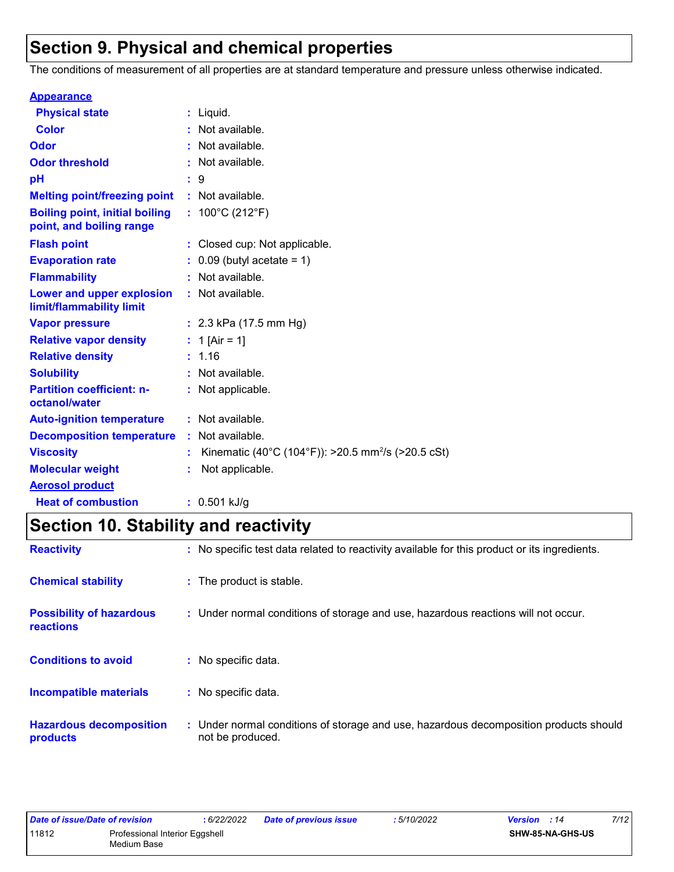## **Section 9. Physical and chemical properties**

The conditions of measurement of all properties are at standard temperature and pressure unless otherwise indicated.

| <b>Appearance</b>                                                 |                                                                |
|-------------------------------------------------------------------|----------------------------------------------------------------|
| <b>Physical state</b>                                             | $:$ Liquid.                                                    |
| <b>Color</b>                                                      | : Not available.                                               |
| Odor                                                              | : Not available.                                               |
| <b>Odor threshold</b>                                             | : Not available.                                               |
| рH                                                                | : 9                                                            |
| <b>Melting point/freezing point</b>                               | : Not available.                                               |
| <b>Boiling point, initial boiling</b><br>point, and boiling range | : $100^{\circ}$ C (212 $^{\circ}$ F)                           |
| <b>Flash point</b>                                                | : Closed cup: Not applicable.                                  |
| <b>Evaporation rate</b>                                           | $0.09$ (butyl acetate = 1)                                     |
| <b>Flammability</b>                                               | : Not available.                                               |
| Lower and upper explosion<br>limit/flammability limit             | : Not available.                                               |
| <b>Vapor pressure</b>                                             | : $2.3$ kPa (17.5 mm Hg)                                       |
| <b>Relative vapor density</b>                                     | : 1 [Air = 1]                                                  |
| <b>Relative density</b>                                           | : 1.16                                                         |
| <b>Solubility</b>                                                 | : Not available.                                               |
| <b>Partition coefficient: n-</b><br>octanol/water                 | : Not applicable.                                              |
| <b>Auto-ignition temperature</b>                                  | : Not available.                                               |
| <b>Decomposition temperature</b>                                  | : Not available.                                               |
| <b>Viscosity</b>                                                  | Kinematic (40°C (104°F)): >20.5 mm <sup>2</sup> /s (>20.5 cSt) |
| <b>Molecular weight</b>                                           | Not applicable.                                                |
| <b>Aerosol product</b>                                            |                                                                |
| <b>Heat of combustion</b>                                         | $: 0.501$ kJ/g                                                 |

## **Section 10. Stability and reactivity**

| <b>Reactivity</b>                                   | : No specific test data related to reactivity available for this product or its ingredients.              |
|-----------------------------------------------------|-----------------------------------------------------------------------------------------------------------|
| <b>Chemical stability</b>                           | : The product is stable.                                                                                  |
| <b>Possibility of hazardous</b><br><b>reactions</b> | : Under normal conditions of storage and use, hazardous reactions will not occur.                         |
| <b>Conditions to avoid</b>                          | : No specific data.                                                                                       |
| <b>Incompatible materials</b>                       | : No specific data.                                                                                       |
| <b>Hazardous decomposition</b><br>products          | : Under normal conditions of storage and use, hazardous decomposition products should<br>not be produced. |

| Date of issue/Date of revision          |  | : 6/22/2022 | <b>Date of previous issue</b> | : 5/10/2022 | <b>Version</b> : 14     | 7/12 |
|-----------------------------------------|--|-------------|-------------------------------|-------------|-------------------------|------|
| 11812<br>Professional Interior Eggshell |  |             |                               |             | <b>SHW-85-NA-GHS-US</b> |      |
| Medium Base                             |  |             |                               |             |                         |      |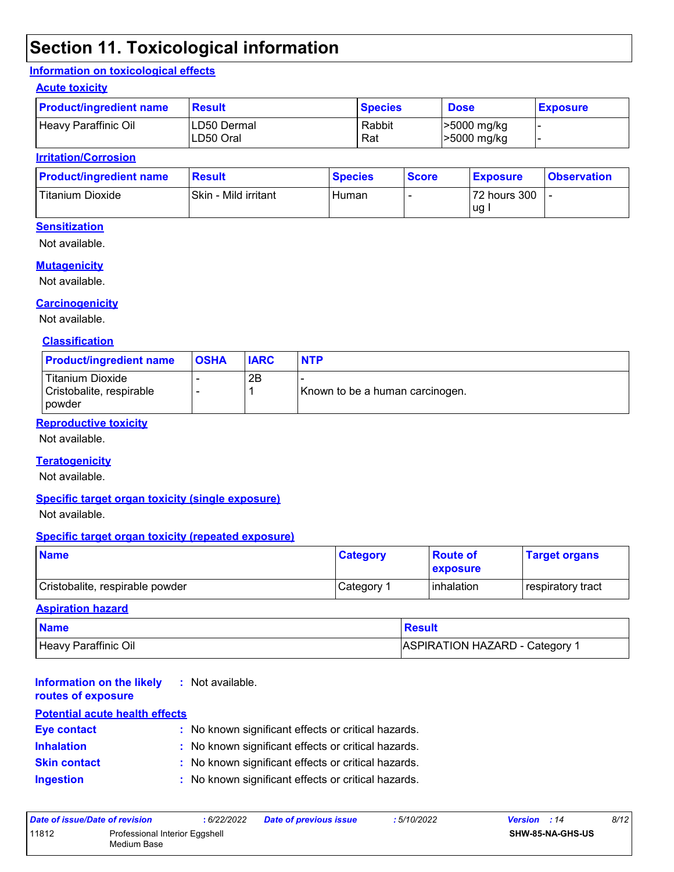## **Section 11. Toxicological information**

#### **Information on toxicological effects**

#### **Acute toxicity**

| <b>Product/ingredient name</b> | <b>Result</b>            | <b>Species</b> | <b>Dose</b>                | <b>Exposure</b> |
|--------------------------------|--------------------------|----------------|----------------------------|-----------------|
| Heavy Paraffinic Oil           | LD50 Dermal<br>LD50 Oral | Rabbit<br>Rat  | >5000 mg/kg<br>>5000 mg/kg |                 |

#### **Irritation/Corrosion**

| <b>Product/ingredient name</b> | <b>Result</b>        | <b>Species</b> | <b>Score</b> | <b>Exposure</b> | <b>Observation</b> |
|--------------------------------|----------------------|----------------|--------------|-----------------|--------------------|
| Titanium Dioxide               | Skin - Mild irritant | Human          |              | 72 hours 300    |                    |
|                                |                      |                |              | ug              |                    |

#### **Sensitization**

Not available.

#### **Mutagenicity**

Not available.

#### **Carcinogenicity**

Not available.

#### **Classification**

| <b>Product/ingredient name</b>                                | <b>OSHA</b> | <b>IARC</b> | <b>NTP</b>                      |
|---------------------------------------------------------------|-------------|-------------|---------------------------------|
| <b>Titanium Dioxide</b><br>Cristobalite, respirable<br>powder | -           | 2B          | Known to be a human carcinogen. |

#### **Reproductive toxicity**

Not available.

#### **Teratogenicity**

Not available.

#### **Specific target organ toxicity (single exposure)**

Not available.

#### **Specific target organ toxicity (repeated exposure)**

| <b>Name</b>                     | <b>Category</b> | <b>Route of</b><br><b>Lexposure</b> | <b>Target organs</b> |
|---------------------------------|-----------------|-------------------------------------|----------------------|
| Cristobalite, respirable powder | Category        | l inhalation                        | respiratory tract    |

#### **Aspiration hazard**

| <b>Name</b>          | Result                                |
|----------------------|---------------------------------------|
| Heavy Paraffinic Oil | <b>ASPIRATION HAZARD - Category 1</b> |

#### **Information on the likely routes of exposure :** Not available.

| <b>Potential acute health effects</b> |  |                                                     |  |  |
|---------------------------------------|--|-----------------------------------------------------|--|--|
| <b>Eye contact</b>                    |  | : No known significant effects or critical hazards. |  |  |
| <b>Inhalation</b>                     |  | : No known significant effects or critical hazards. |  |  |
| <b>Skin contact</b>                   |  | : No known significant effects or critical hazards. |  |  |
| <b>Ingestion</b>                      |  | : No known significant effects or critical hazards. |  |  |

| Date of issue/Date of revision |                                               | : 6/22/2022 | <b>Date of previous issue</b> | : 5/10/2022 | <b>Version</b> : 14     | 8/12 |
|--------------------------------|-----------------------------------------------|-------------|-------------------------------|-------------|-------------------------|------|
| 11812                          | Professional Interior Eggshell<br>Medium Base |             |                               |             | <b>SHW-85-NA-GHS-US</b> |      |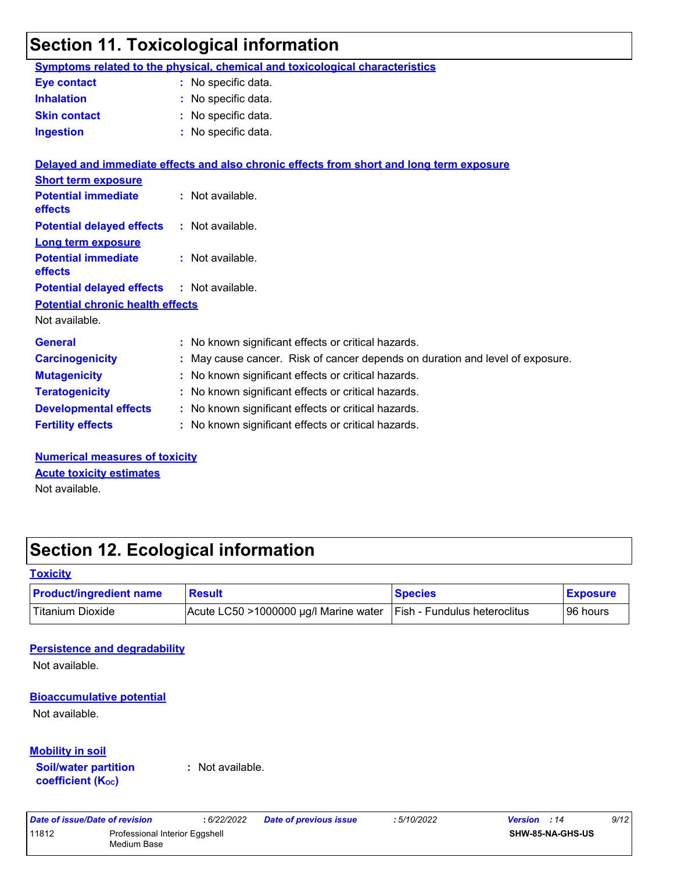## **Section 11. Toxicological information**

|                                         | Symptoms related to the physical, chemical and toxicological characteristics             |
|-----------------------------------------|------------------------------------------------------------------------------------------|
| <b>Eye contact</b>                      | : No specific data.                                                                      |
| <b>Inhalation</b>                       | : No specific data.                                                                      |
| <b>Skin contact</b>                     | : No specific data.                                                                      |
| <b>Ingestion</b>                        | : No specific data.                                                                      |
|                                         | Delayed and immediate effects and also chronic effects from short and long term exposure |
| <b>Short term exposure</b>              |                                                                                          |
| <b>Potential immediate</b><br>effects   | : Not available.                                                                         |
| <b>Potential delayed effects</b>        | : Not available.                                                                         |
| <b>Long term exposure</b>               |                                                                                          |
| <b>Potential immediate</b><br>effects   | : Not available.                                                                         |
| <b>Potential delayed effects</b>        | : Not available.                                                                         |
| <b>Potential chronic health effects</b> |                                                                                          |
| Not available.                          |                                                                                          |
| <b>General</b>                          | No known significant effects or critical hazards.                                        |
| <b>Carcinogenicity</b>                  | May cause cancer. Risk of cancer depends on duration and level of exposure.              |
| <b>Mutagenicity</b>                     | No known significant effects or critical hazards.                                        |
| <b>Teratogenicity</b>                   | No known significant effects or critical hazards.                                        |
| <b>Developmental effects</b>            | : No known significant effects or critical hazards.                                      |
| <b>Fertility effects</b>                | : No known significant effects or critical hazards.                                      |
| <b>Numerical measures of toxicity</b>   |                                                                                          |
| <b>Acute toxicity estimates</b>         |                                                                                          |

Not available.

## **Section 12. Ecological information**

#### **Toxicity**

| <b>Product/ingredient name</b> | <b>Result</b>                                                              | <b>Species</b> | <b>Exposure</b> |
|--------------------------------|----------------------------------------------------------------------------|----------------|-----------------|
| Titanium Dioxide               | $ $ Acute LC50 >1000000 µg/l Marine water $ $ Fish - Fundulus heteroclitus |                | 96 hours        |

#### **Persistence and degradability**

Not available.

#### **Bioaccumulative potential**

Not available.

#### **Mobility in soil**

**Soil/water partition coefficient (KOC)**

**:** Not available.

*Date of issue/Date of revision* **:** *6/22/2022 Date of previous issue : 5/10/2022 Version : 14 9/12* 11812 Professional Interior Eggshell Medium Base **SHW-85-NA-GHS-US**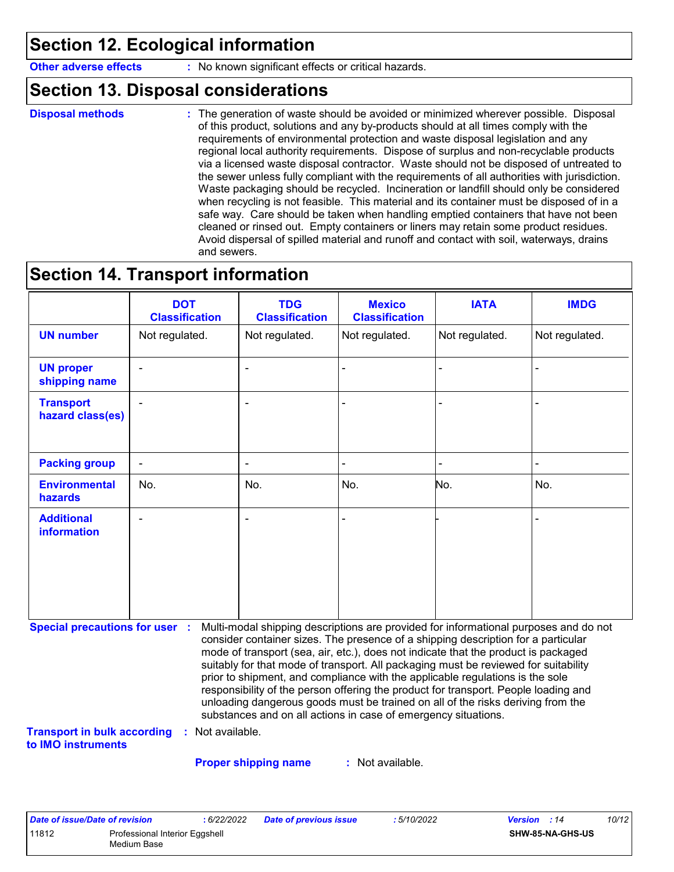## **Section 12. Ecological information**

**Other adverse effects** : No known significant effects or critical hazards.

### **Section 13. Disposal considerations**

```
Disposal methods :
```
The generation of waste should be avoided or minimized wherever possible. Disposal of this product, solutions and any by-products should at all times comply with the requirements of environmental protection and waste disposal legislation and any regional local authority requirements. Dispose of surplus and non-recyclable products via a licensed waste disposal contractor. Waste should not be disposed of untreated to the sewer unless fully compliant with the requirements of all authorities with jurisdiction. Waste packaging should be recycled. Incineration or landfill should only be considered when recycling is not feasible. This material and its container must be disposed of in a safe way. Care should be taken when handling emptied containers that have not been cleaned or rinsed out. Empty containers or liners may retain some product residues. Avoid dispersal of spilled material and runoff and contact with soil, waterways, drains and sewers.

### **Section 14. Transport information**

|                                         | <b>DOT</b><br><b>Classification</b> | <b>TDG</b><br><b>Classification</b> | <b>Mexico</b><br><b>Classification</b> | <b>IATA</b>    | <b>IMDG</b>    |
|-----------------------------------------|-------------------------------------|-------------------------------------|----------------------------------------|----------------|----------------|
| <b>UN number</b>                        | Not regulated.                      | Not regulated.                      | Not regulated.                         | Not regulated. | Not regulated. |
| <b>UN proper</b><br>shipping name       | $\blacksquare$                      | ۰                                   | $\blacksquare$                         |                |                |
| <b>Transport</b><br>hazard class(es)    | $\overline{\phantom{a}}$            | ۰                                   |                                        |                |                |
| <b>Packing group</b>                    | $\blacksquare$                      | ۰                                   | $\blacksquare$                         |                | $\blacksquare$ |
| <b>Environmental</b><br>hazards         | No.                                 | No.                                 | No.                                    | No.            | No.            |
| <b>Additional</b><br><b>information</b> | $\blacksquare$                      | ۰                                   |                                        |                |                |

**Special precautions for user :** Multi-modal shipping descriptions are provided for informational purposes and do not consider container sizes. The presence of a shipping description for a particular mode of transport (sea, air, etc.), does not indicate that the product is packaged suitably for that mode of transport. All packaging must be reviewed for suitability prior to shipment, and compliance with the applicable regulations is the sole responsibility of the person offering the product for transport. People loading and unloading dangerous goods must be trained on all of the risks deriving from the substances and on all actions in case of emergency situations.

**Transport in bulk according to IMO instruments :** Not available.

**Proper shipping name :**

: Not available.

| Date of issue/Date of revision |                                               | : 6/22/2022 | <b>Date of previous issue</b> | : 5/10/2022 | <b>Version</b> : 14 |                         | 10/12 |
|--------------------------------|-----------------------------------------------|-------------|-------------------------------|-------------|---------------------|-------------------------|-------|
| 11812                          | Professional Interior Eggshell<br>Medium Base |             |                               |             |                     | <b>SHW-85-NA-GHS-US</b> |       |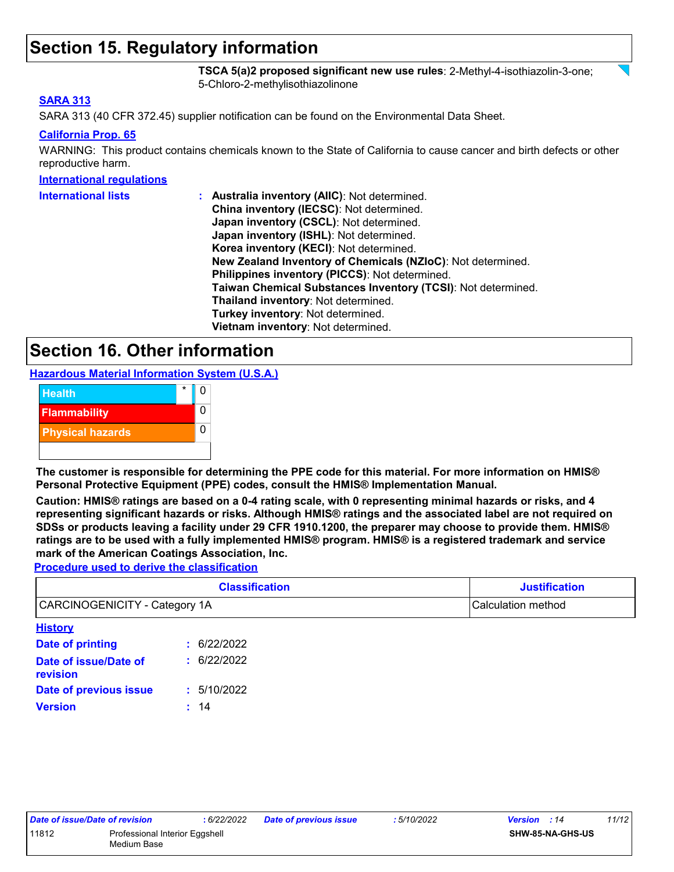### **Section 15. Regulatory information**

**TSCA 5(a)2 proposed significant new use rules**: 2-Methyl-4-isothiazolin-3-one; 5-Chloro-2-methylisothiazolinone

#### **SARA 313**

SARA 313 (40 CFR 372.45) supplier notification can be found on the Environmental Data Sheet.

#### **California Prop. 65**

WARNING: This product contains chemicals known to the State of California to cause cancer and birth defects or other reproductive harm.

#### **International regulations**

| <b>International lists</b> | : Australia inventory (AIIC): Not determined.                |
|----------------------------|--------------------------------------------------------------|
|                            | China inventory (IECSC): Not determined.                     |
|                            | Japan inventory (CSCL): Not determined.                      |
|                            | Japan inventory (ISHL): Not determined.                      |
|                            | Korea inventory (KECI): Not determined.                      |
|                            | New Zealand Inventory of Chemicals (NZIoC): Not determined.  |
|                            | Philippines inventory (PICCS): Not determined.               |
|                            | Taiwan Chemical Substances Inventory (TCSI): Not determined. |
|                            | Thailand inventory: Not determined.                          |
|                            | Turkey inventory: Not determined.                            |
|                            | Vietnam inventory: Not determined.                           |

### **Section 16. Other information**

**Hazardous Material Information System (U.S.A.)**



**The customer is responsible for determining the PPE code for this material. For more information on HMIS® Personal Protective Equipment (PPE) codes, consult the HMIS® Implementation Manual.**

**Caution: HMIS® ratings are based on a 0-4 rating scale, with 0 representing minimal hazards or risks, and 4 representing significant hazards or risks. Although HMIS® ratings and the associated label are not required on SDSs or products leaving a facility under 29 CFR 1910.1200, the preparer may choose to provide them. HMIS® ratings are to be used with a fully implemented HMIS® program. HMIS® is a registered trademark and service mark of the American Coatings Association, Inc.**

**Procedure used to derive the classification**

|                                      | <b>Classification</b> | <b>Justification</b> |  |  |
|--------------------------------------|-----------------------|----------------------|--|--|
| <b>CARCINOGENICITY - Category 1A</b> |                       | Calculation method   |  |  |
| <b>History</b>                       |                       |                      |  |  |
| Date of printing                     | : 6/22/2022           |                      |  |  |
| Date of issue/Date of<br>revision    | : 6/22/2022           |                      |  |  |
| Date of previous issue               | 5/10/2022             |                      |  |  |

**Version :** 14